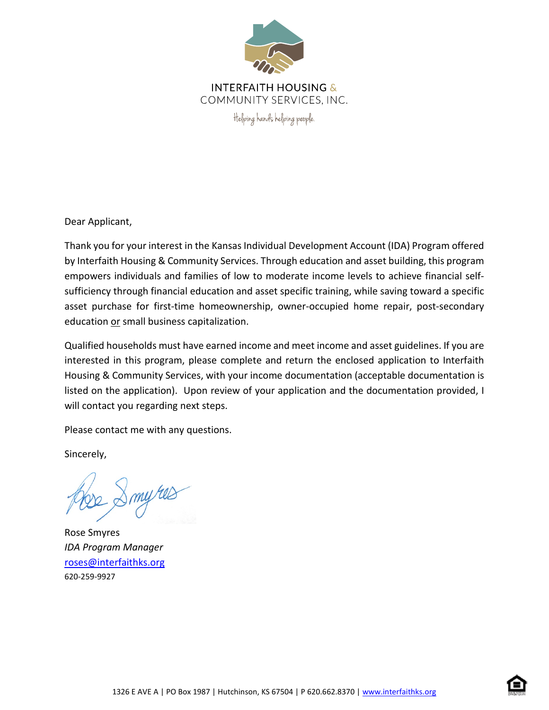

**INTERFAITH HOUSING &** COMMUNITY SERVICES. INC.

Helping hands helping people.

Dear Applicant,

Thank you for your interest in the Kansas Individual Development Account (IDA) Program offered by Interfaith Housing & Community Services. Through education and asset building, this program empowers individuals and families of low to moderate income levels to achieve financial selfsufficiency through financial education and asset specific training, while saving toward a specific asset purchase for first-time homeownership, owner-occupied home repair, post-secondary education or small business capitalization.

Qualified households must have earned income and meet income and asset guidelines. If you are interested in this program, please complete and return the enclosed application to Interfaith Housing & Community Services, with your income documentation (acceptable documentation is listed on the application). Upon review of your application and the documentation provided, I will contact you regarding next steps.

Please contact me with any questions.

Sincerely,

Rose Smyres *IDA Program Manager* [roses@interfaithks.org](mailto:roses@interfaithks.org) 620-259-9927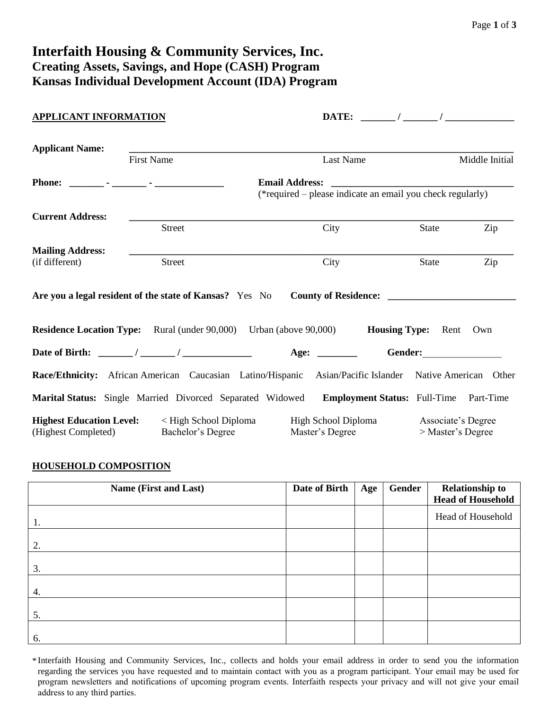# **Interfaith Housing & Community Services, Inc. Creating Assets, Savings, and Hope (CASH) Program Kansas Individual Development Account (IDA) Program**

| <b>APPLICANT INFORMATION</b>                           |                                                                                                         |                                                            |                                         |                |
|--------------------------------------------------------|---------------------------------------------------------------------------------------------------------|------------------------------------------------------------|-----------------------------------------|----------------|
| <b>Applicant Name:</b>                                 | <b>First Name</b>                                                                                       | Last Name                                                  |                                         | Middle Initial |
|                                                        |                                                                                                         | (*required – please indicate an email you check regularly) |                                         |                |
| <b>Current Address:</b>                                | <b>Street</b>                                                                                           | City                                                       | State                                   | Zip            |
| <b>Mailing Address:</b><br>(if different)              | <b>Street</b>                                                                                           | City                                                       | State                                   | Zip            |
|                                                        | Are you a legal resident of the state of Kansas? Yes No                                                 |                                                            |                                         |                |
|                                                        | <b>Residence Location Type:</b> Rural (under 90,000) Urban (above 90,000) <b>Housing Type:</b> Rent     |                                                            |                                         | Own            |
|                                                        |                                                                                                         |                                                            |                                         |                |
|                                                        | Race/Ethnicity: African American Caucasian Latino/Hispanic Asian/Pacific Islander Native American Other |                                                            |                                         |                |
|                                                        | Marital Status: Single Married Divorced Separated Widowed Employment Status: Full-Time Part-Time        |                                                            |                                         |                |
| <b>Highest Education Level:</b><br>(Highest Completed) | < High School Diploma<br>Bachelor's Degree                                                              | High School Diploma<br>Master's Degree                     | Associate's Degree<br>> Master's Degree |                |

## **HOUSEHOLD COMPOSITION**

| <b>Name (First and Last)</b> | Date of Birth | Age | Gender | <b>Relationship to</b><br><b>Head of Household</b> |
|------------------------------|---------------|-----|--------|----------------------------------------------------|
| 1.                           |               |     |        | Head of Household                                  |
| 2.                           |               |     |        |                                                    |
| 3.                           |               |     |        |                                                    |
| 4.                           |               |     |        |                                                    |
| 5.                           |               |     |        |                                                    |
| 6.                           |               |     |        |                                                    |

\* Interfaith Housing and Community Services, Inc., collects and holds your email address in order to send you the information regarding the services you have requested and to maintain contact with you as a program participant. Your email may be used for program newsletters and notifications of upcoming program events. Interfaith respects your privacy and will not give your email address to any third parties.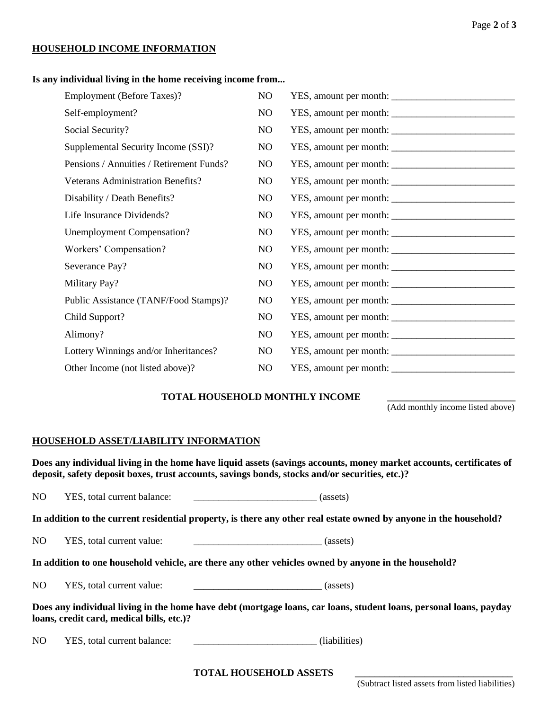## **HOUSEHOLD INCOME INFORMATION**

#### **Is any individual living in the home receiving income from...**

| <b>Employment</b> (Before Taxes)?        | NO. |                        |
|------------------------------------------|-----|------------------------|
| Self-employment?                         | NO  |                        |
| Social Security?                         | NO  |                        |
| Supplemental Security Income (SSI)?      | NO  | YES, amount per month: |
| Pensions / Annuities / Retirement Funds? | NO  |                        |
| Veterans Administration Benefits?        | NO. |                        |
| Disability / Death Benefits?             | NO  |                        |
| Life Insurance Dividends?                | NO. |                        |
| <b>Unemployment Compensation?</b>        | NO  |                        |
| Workers' Compensation?                   | NO  |                        |
| Severance Pay?                           | NO  |                        |
| Military Pay?                            | NO  |                        |
| Public Assistance (TANF/Food Stamps)?    | NO  |                        |
| Child Support?                           | NO  |                        |
| Alimony?                                 | NO  |                        |
| Lottery Winnings and/or Inheritances?    | NO  |                        |
| Other Income (not listed above)?         | NO  |                        |

#### **TOTAL HOUSEHOLD MONTHLY INCOME \_\_\_\_\_\_\_\_\_\_\_\_\_\_\_\_\_\_\_\_\_\_\_\_\_\_**

(Add monthly income listed above)

## **HOUSEHOLD ASSET/LIABILITY INFORMATION**

**Does any individual living in the home have liquid assets (savings accounts, money market accounts, certificates of deposit, safety deposit boxes, trust accounts, savings bonds, stocks and/or securities, etc.)?** 

NO YES, total current balance:  $\qquad \qquad \qquad (as sets)$ 

**In addition to the current residential property, is there any other real estate owned by anyone in the household?** 

NO YES, total current value: \_\_\_\_\_\_\_\_\_\_\_\_\_\_\_\_\_\_\_\_\_\_\_\_\_\_ (assets)

**In addition to one household vehicle, are there any other vehicles owned by anyone in the household?** 

| N <sub>O</sub><br>YES, total current value:<br>(assets) |
|---------------------------------------------------------|
|---------------------------------------------------------|

**Does any individual living in the home have debt (mortgage loans, car loans, student loans, personal loans, payday loans, credit card, medical bills, etc.)?** 

NO YES, total current balance: (liabilities)

Page **2** of **3**

**TOTAL HOUSEHOLD ASSETS \_\_\_\_\_\_\_\_\_\_\_\_\_\_\_\_\_\_\_\_\_\_\_\_\_\_\_\_\_\_\_\_**